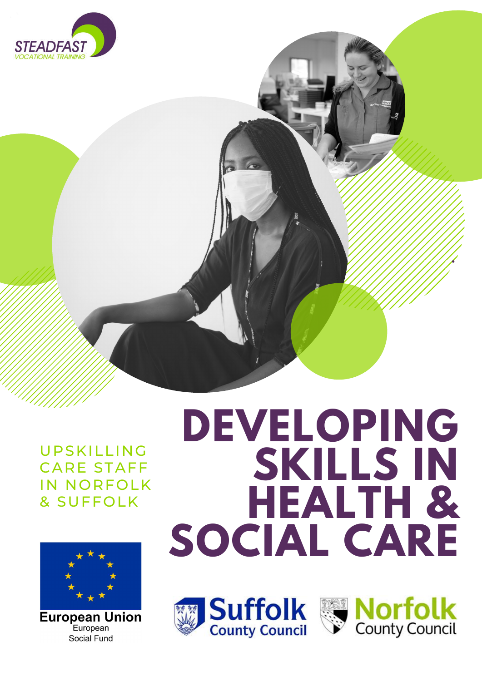# **DEVELOPING SKILLS IN HEALTH & SOCIAL CARE**









UPSKILLING CARE STAFF IN NORFOLK & SUFFOLK

# **European Union**

European **Social Fund**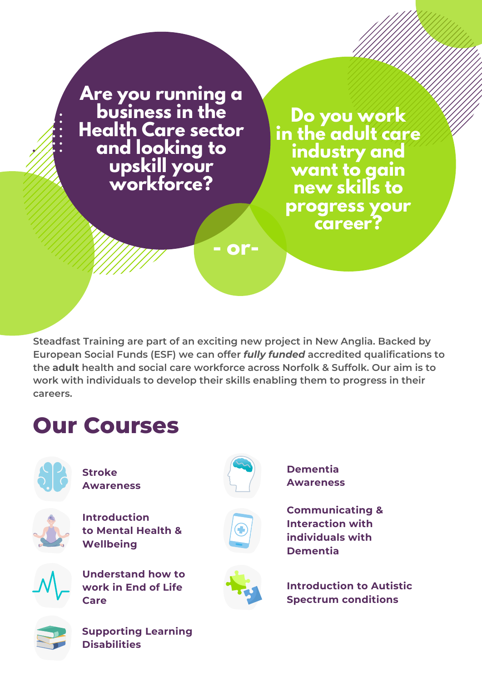**Do you work in the adult care industry and want to gain new skills to progress your career?**

**Are you running a business in the Health Care sector and looking to upskill your workforce?**

**- or-**

**Steadfast Training are part of an exciting new project in New Anglia. Backed by European Social Funds (ESF) we can offer** *fully funded* **accredited qualifications to the adult health and social care workforce across Norfolk & Suffolk. Our aim is to work with individuals to develop their skills enabling them to progress in their careers.**



**Dementia Awareness**



**Understand how to work in End of Life Care**



**Communicating & Interaction with individuals with Dementia**



**Introduction to Mental Health & Wellbeing**



**Introduction to Autistic Spectrum conditions**



### **Our Courses**



**Stroke Awareness**

**Supporting Learning Disabilities**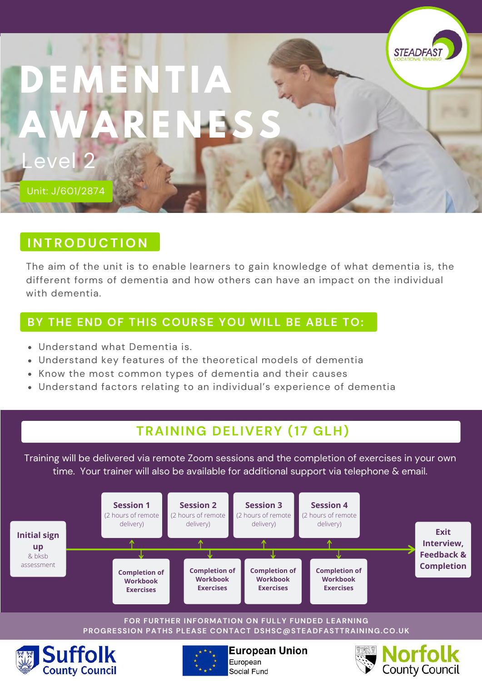### **D E M E N T I A AWA R E N ESS** Level 2

Unit: J/601/2874

#### **I N T R O D U C T I O N**

The aim of the unit is to enable learners to gain knowledge of what dementia is, the different forms of dementia and how others can have an impact on the individual with dementia.

**STEADFAS** 

#### **BY THE END OF THIS COURSE YOU WILL BE ABLE TO:**

- Understand what Dementia is.
- Understand key features of the theoretical models of dementia
- Know the most common types of dementia and their causes
- Understand factors relating to an individual's experience of dementia

#### **TRAINING DELIVERY (17 GLH)**

Training will be delivered via remote Zoom sessions and the completion of exercises in your own time. Your trainer will also be available for additional support via telephone & email.



Social Fund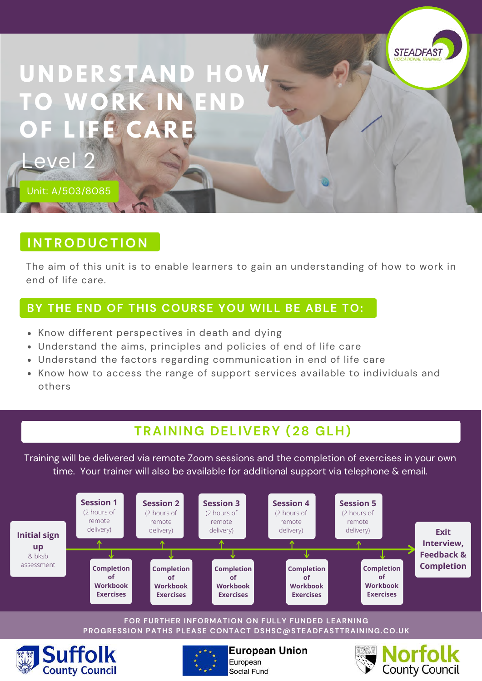

#### **U N D E R ST A N D H OW T O WO R K I N E N D O F L I F E C A R E**

Unit: A/503/8085

Level

#### **I N T R O D U C T I O N**

The aim of this unit is to enable learners to gain an understanding of how to work in end of life care.

#### **BY THE END OF THIS COURSE YOU WILL BE ABLE TO:**

- Know different perspectives in death and dying
- Understand the aims, principles and policies of end of life care
- Understand the factors regarding communication in end of life care
- Know how to access the range of support services available to individuals and others

#### **TRAINING DELIVERY (28 GLH)**

Training will be delivered via remote Zoom sessions and the completion of exercises in your own time. Your trainer will also be available for additional support via telephone & email.



#### **FOR FURTHER INFORMATION ON FULLY FUNDED LEARNING PROGRESSION PATHS PLEASE CONTACT DSHSC@STEADFASTTRAINING.CO.UK**





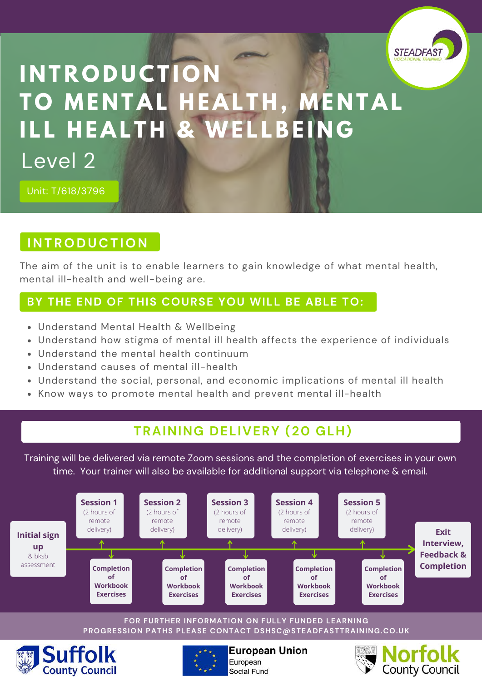

#### **I N T R O D U C T I O N T O M E N T A L H E A L T H , M E N T A L I L L H E A L T H & WE L LBE I N G** Level 2

Unit: T/618/3796

#### **I N T R O D U C T I O N**

The aim of the unit is to enable learners to gain knowledge of what mental health, mental ill-health and well-being are.

#### **BY THE END OF THIS COURSE YOU WILL BE ABLE TO:**

- Understand Mental Health & Wellbeing
- Understand how stigma of mental ill health affects the experience of individuals
- Understand the mental health continuum
- Understand causes of mental ill-health
- Understand the social, personal, and economic implications of mental ill health
- Know ways to promote mental health and prevent mental ill-health

#### **TRAINING DELIVERY (20 GLH)**

Training will be delivered via remote Zoom sessions and the completion of exercises in your own time. Your trainer will also be available for additional support via telephone & email.



#### **FOR FURTHER INFORMATION ON FULLY FUNDED LEARNING PROGRESSION PATHS PLEASE CONTACT DSHSC@STEADFASTTRAINING.CO.UK**





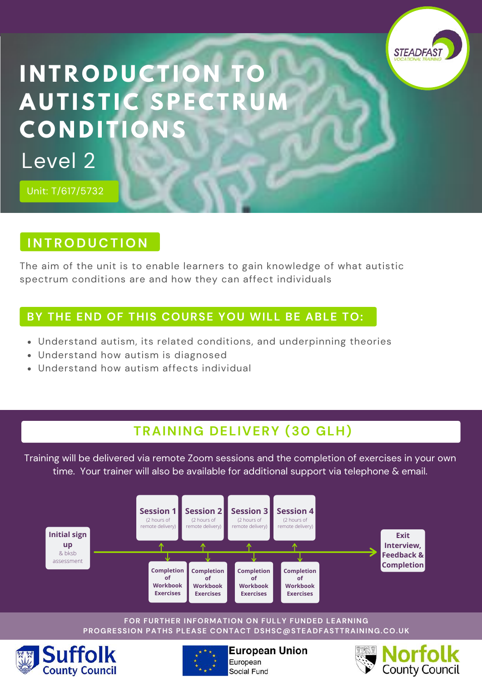

#### **I N T R O D U C T I O N T O A U T IST I C SPE C T R U M**  $C$  **ONDITIO** Level 2

Unit: T/617/5732

#### **I N T R O D U C T I O N**

The aim of the unit is to enable learners to gain knowledge of what autistic spectrum conditions are and how they can affect individuals

#### **BY THE END OF THIS COURSE YOU WILL BE ABLE TO:**

- Understand autism, its related conditions, and underpinning theories
- Understand how autism is diagnosed
- Understand how autism affects individual

#### **TRAINING DELIVERY (30 GLH)**

Training will be delivered via remote Zoom sessions and the completion of exercises in your own time. Your trainer will also be available for additional support via telephone & email.



#### **FOR FURTHER INFORMATION ON FULLY FUNDED LEARNING PROGRESSION PATHS PLEASE CONTACT DSHSC@STEADFASTTRAINING.CO.UK**





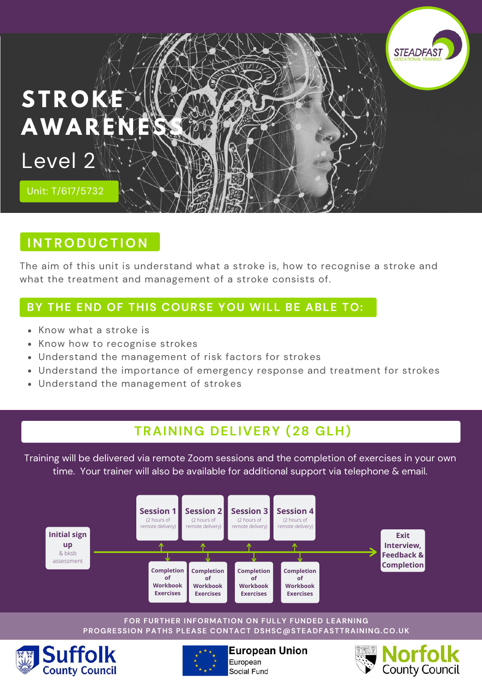

#### $H$  **INTRODUCTION**

The aim of this unit is understand what a stroke is, how to recognise a stroke and what the treatment and management of a stroke consists of.

#### **BY THE END OF THIS COURSE YOU WILL BE ABLE TO:**

- Know what a stroke is
- Know how to recognise strokes
- Understand the management of risk factors for strokes
- Understand the importance of emergency response and treatment for strokes
- Understand the management of strokes

#### **TRAINING DELIVERY (28 GLH)**

Training will be delivered via remote Zoom sessions and the completion of exercises in your own time. Your trainer will also be available for additional support via telephone & email.



#### **FOR FURTHER INFORMATION ON FULLY FUNDED LEARNING PROGRESSION PATHS PLEASE CONTACT DSHSC@STEADFASTTRAINING.CO.UK**





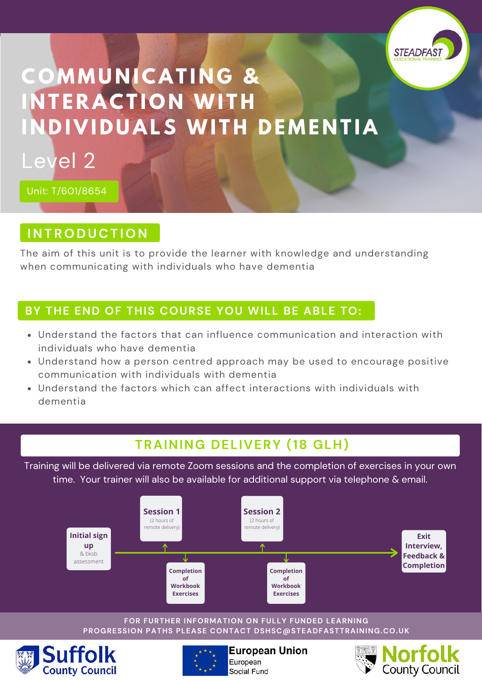

#### **C O M M U N I C A T I N G & I N T E R A C T I O N WI T H INDIVIDUALS WITH DEMENTIA** Level 2



#### $\overline{I}$  **INTRODUCTION**

The aim of this unit is to provide the learner with knowledge and understanding when communicating with individuals who have dementia

#### **BY THE END OF THIS COURSE YOU WILL BE ABLE TO:**

- Understand the factors that can influence communication and interaction with individuals who have dementia
- Understand how a person centred approach may be used to encourage positive communication with individuals with dementia
- Understand the factors which can affect interactions with individuals with dementia

#### **TRAINING DELIVERY (18 GLH)**

Training will be delivered via remote Zoom sessions and the completion of exercises in your own time. Your trainer will also be available for additional support via telephone & email.



#### **FOR FURTHER INFORMATION ON FULLY FUNDED LEARNING PROGRESSION PATHS PLEASE CONTACT DSHSC@STEADFASTTRAINING.CO.UK**





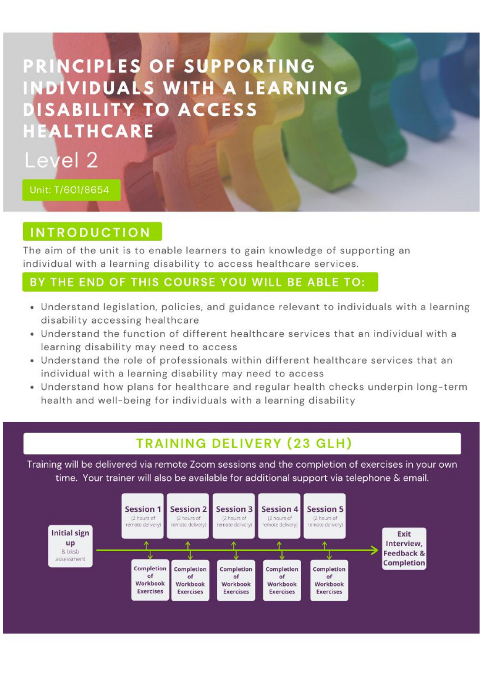#### PRINCIPLES OF SUPPORTING **INDIVIDUALS WITH A LEARNING DISABILITY TO ACCESS HEALTHCARE**



Unit: T/601/8654

#### **INTRODUCTION**

The aim of the unit is to enable learners to gain knowledge of supporting an individual with a learning disability to access healthcare services.

#### BY THE END OF THIS COURSE YOU WILL BE ABLE TO:

- . Understand legislation, policies, and guidance relevant to individuals with a learning disability accessing healthcare
- . Understand the function of different healthcare services that an individual with a learning disability may need to access
- . Understand the role of professionals within different healthcare services that an individual with a learning disability may need to access
- . Understand how plans for healthcare and regular health checks underpin long-term health and well-being for individuals with a learning disability

#### **TRAINING DELIVERY (23 GLH)**

Training will be delivered via remote Zoom sessions and the completion of exercises in your own time. Your trainer will also be available for additional support via telephone & email.

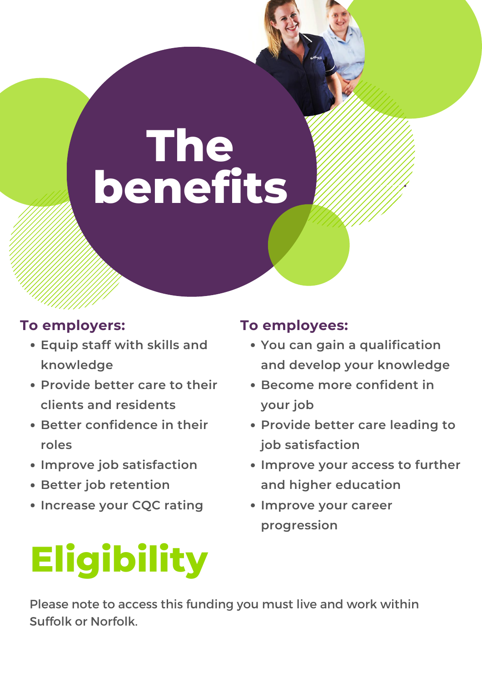# **The benefits**

- **Equip staff with skills and**
	-

#### **To employers:**

- **You can gain a qualification**
	-
- **knowledge**
- **Provide better care to their clients and residents**
- **Better confidence in their roles**
- **Improve job satisfaction**
- **Better job retention**
- **Increase your CQC rating**
- **and develop your knowledge**
- **Become more confident in your job**
- **Provide better care leading to job satisfaction**
- **Improve your access to further and higher education**
- **Improve your career progression**

#### **To employees:**

### **Eligibility** Please note to access this funding you must live and work within Suffolk or Norfolk.